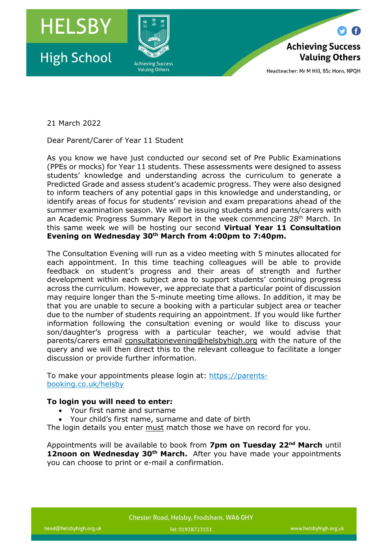

Headteacher: Mr M Hill, BSc Hons, NPQH

21 March 2022

Dear Parent/Carer of Year 11 Student

As you know we have just conducted our second set of Pre Public Examinations (PPEs or mocks) for Year 11 students. These assessments were designed to assess students' knowledge and understanding across the curriculum to generate a Predicted Grade and assess student's academic progress. They were also designed to inform teachers of any potential gaps in this knowledge and understanding, or identify areas of focus for students' revision and exam preparations ahead of the summer examination season. We will be issuing students and parents/carers with an Academic Progress Summary Report in the week commencing 28<sup>th</sup> March. In this same week we will be hosting our second **Virtual Year 11 Consultation Evening on Wednesday 30th March from 4:00pm to 7:40pm.**

The Consultation Evening will run as a video meeting with 5 minutes allocated for each appointment. In this time teaching colleagues will be able to provide feedback on student's progress and their areas of strength and further development within each subject area to support students' continuing progress across the curriculum. However, we appreciate that a particular point of discussion may require longer than the 5-minute meeting time allows. In addition, it may be that you are unable to secure a booking with a particular subject area or teacher due to the number of students requiring an appointment. If you would like further information following the consultation evening or would like to discuss your son/daughter's progress with a particular teacher, we would advise that parents/carers email [consultationevening@helsbyhigh.org](mailto:consultationevening@helsbyhigh.org) with the nature of the query and we will then direct this to the relevant colleague to facilitate a longer discussion or provide further information.

To make your appointments please login at: [https://parents](https://parents-booking.co.uk/helsby)[booking.co.uk/helsby](https://parents-booking.co.uk/helsby)

## **To login you will need to enter:**

- Your first name and surname
- Your child's first name, surname and date of birth

The login details you enter must match those we have on record for you.

Appointments will be available to book from **7pm on Tuesday 22nd March** until **12noon on Wednesday 30th March.** After you have made your appointments you can choose to print or e-mail a confirmation.

www.helsbyhigh.org.uk